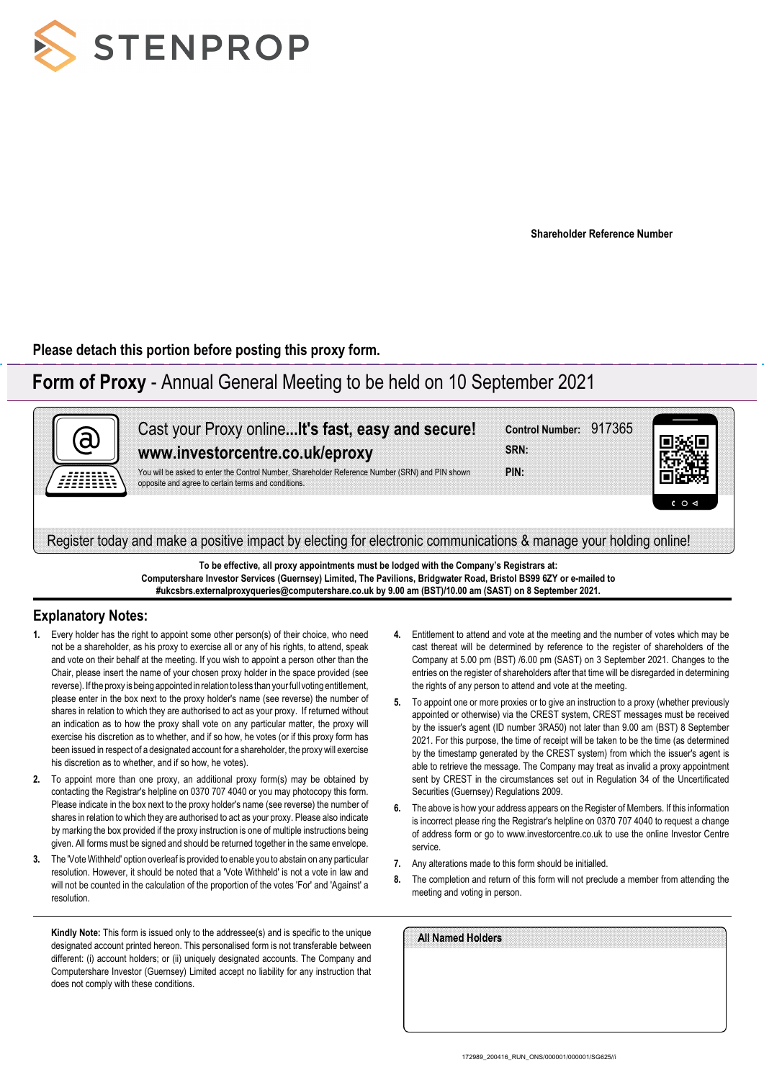

**Shareholder Reference Number**

**Please detach this portion before posting this proxy form.**

# **Form of Proxy** - Annual General Meeting to be held on 10 September 2021



**To be effective, all proxy appointments must be lodged with the Company's Registrars at: Computershare Investor Services (Guernsey) Limited, The Pavilions, Bridgwater Road, Bristol BS99 6ZY or e-mailed to #ukcsbrs.externalproxyqueries@computershare.co.uk by 9.00 am (BST)/10.00 am (SAST) on 8 September 2021.**

### **Explanatory Notes:**

- **1.** Every holder has the right to appoint some other person(s) of their choice, who need not be a shareholder, as his proxy to exercise all or any of his rights, to attend, speak and vote on their behalf at the meeting. If you wish to appoint a person other than the Chair, please insert the name of your chosen proxy holder in the space provided (see reverse). If the proxy is being appointed in relation to less than your full voting entitlement, please enter in the box next to the proxy holder's name (see reverse) the number of shares in relation to which they are authorised to act as your proxy. If returned without an indication as to how the proxy shall vote on any particular matter, the proxy will exercise his discretion as to whether, and if so how, he votes (or if this proxy form has been issued in respect of a designated account for a shareholder, the proxy will exercise his discretion as to whether, and if so how, he votes).
- **2.** To appoint more than one proxy, an additional proxy form(s) may be obtained by contacting the Registrar's helpline on 0370 707 4040 or you may photocopy this form. Please indicate in the box next to the proxy holder's name (see reverse) the number of shares in relation to which they are authorised to act as your proxy. Please also indicate by marking the box provided if the proxy instruction is one of multiple instructions being given. All forms must be signed and should be returned together in the same envelope.
- **3.** The 'Vote Withheld' option overleaf is provided to enable you to abstain on any particular resolution. However, it should be noted that a 'Vote Withheld' is not a vote in law and will not be counted in the calculation of the proportion of the votes 'For' and 'Against' a resolution.

**Kindly Note:** This form is issued only to the addressee(s) and is specific to the unique designated account printed hereon. This personalised form is not transferable between different: (i) account holders; or (ii) uniquely designated accounts. The Company and Computershare Investor (Guernsey) Limited accept no liability for any instruction that does not comply with these conditions.

- **4.** Entitlement to attend and vote at the meeting and the number of votes which may be cast thereat will be determined by reference to the register of shareholders of the Company at 5.00 pm (BST) /6.00 pm (SAST) on 3 September 2021. Changes to the entries on the register of shareholders after that time will be disregarded in determining the rights of any person to attend and vote at the meeting.
- **5.** To appoint one or more proxies or to give an instruction to a proxy (whether previously appointed or otherwise) via the CREST system, CREST messages must be received by the issuer's agent (ID number 3RA50) not later than 9.00 am (BST) 8 September 2021. For this purpose, the time of receipt will be taken to be the time (as determined by the timestamp generated by the CREST system) from which the issuer's agent is able to retrieve the message. The Company may treat as invalid a proxy appointment sent by CREST in the circumstances set out in Regulation 34 of the Uncertificated Securities (Guernsey) Regulations 2009.
- **6.** The above is how your address appears on the Register of Members. If this information is incorrect please ring the Registrar's helpline on 0370 707 4040 to request a change of address form or go to www.investorcentre.co.uk to use the online Investor Centre service.
- **7.** Any alterations made to this form should be initialled.
- **8.** The completion and return of this form will not preclude a member from attending the meeting and voting in person.

| All Named Holders |  |  |  |
|-------------------|--|--|--|
|                   |  |  |  |
|                   |  |  |  |
|                   |  |  |  |
|                   |  |  |  |